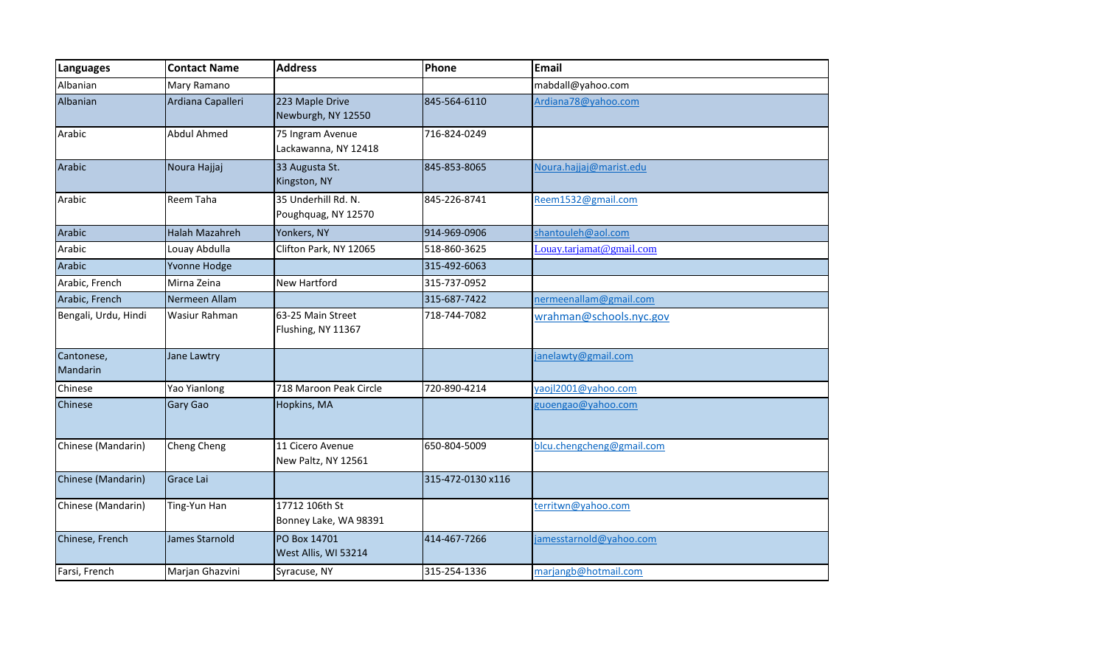| <b>Languages</b>       | <b>Contact Name</b>   | <b>Address</b>                             | Phone             | Email                     |
|------------------------|-----------------------|--------------------------------------------|-------------------|---------------------------|
| Albanian               | Mary Ramano           |                                            |                   | mabdall@yahoo.com         |
| <b>Albanian</b>        | Ardiana Capalleri     | 223 Maple Drive<br>Newburgh, NY 12550      | 845-564-6110      | Ardiana78@yahoo.com       |
| Arabic                 | <b>Abdul Ahmed</b>    | 75 Ingram Avenue<br>Lackawanna, NY 12418   | 716-824-0249      |                           |
| Arabic                 | Noura Hajjaj          | 33 Augusta St.<br>Kingston, NY             | 845-853-8065      | Noura.hajjaj@marist.edu   |
| Arabic                 | Reem Taha             | 35 Underhill Rd. N.<br>Poughquag, NY 12570 | 845-226-8741      | Reem1532@gmail.com        |
| Arabic                 | <b>Halah Mazahreh</b> | Yonkers, NY                                | 914-969-0906      | shantouleh@aol.com        |
| Arabic                 | Louay Abdulla         | Clifton Park, NY 12065                     | 518-860-3625      | Louay.tarjamat@gmail.com  |
| Arabic                 | Yvonne Hodge          |                                            | 315-492-6063      |                           |
| Arabic, French         | Mirna Zeina           | <b>New Hartford</b>                        | 315-737-0952      |                           |
| Arabic, French         | Nermeen Allam         |                                            | 315-687-7422      | nermeenallam@gmail.com    |
| Bengali, Urdu, Hindi   | Wasiur Rahman         | 63-25 Main Street<br>Flushing, NY 11367    | 718-744-7082      | wrahman@schools.nyc.gov   |
| Cantonese,<br>Mandarin | Jane Lawtry           |                                            |                   | janelawty@gmail.com       |
| Chinese                | Yao Yianlong          | 718 Maroon Peak Circle                     | 720-890-4214      | yaojl2001@yahoo.com       |
| Chinese                | <b>Gary Gao</b>       | Hopkins, MA                                |                   | guoengao@yahoo.com        |
| Chinese (Mandarin)     | Cheng Cheng           | 11 Cicero Avenue<br>New Paltz, NY 12561    | 650-804-5009      | blcu.chengcheng@gmail.com |
| Chinese (Mandarin)     | Grace Lai             |                                            | 315-472-0130 x116 |                           |
| Chinese (Mandarin)     | Ting-Yun Han          | 17712 106th St<br>Bonney Lake, WA 98391    |                   | territwn@yahoo.com        |
| Chinese, French        | James Starnold        | PO Box 14701<br>West Allis, WI 53214       | 414-467-7266      | jamesstarnold@yahoo.com   |
| Farsi, French          | Marjan Ghazvini       | Syracuse, NY                               | 315-254-1336      | marjangb@hotmail.com      |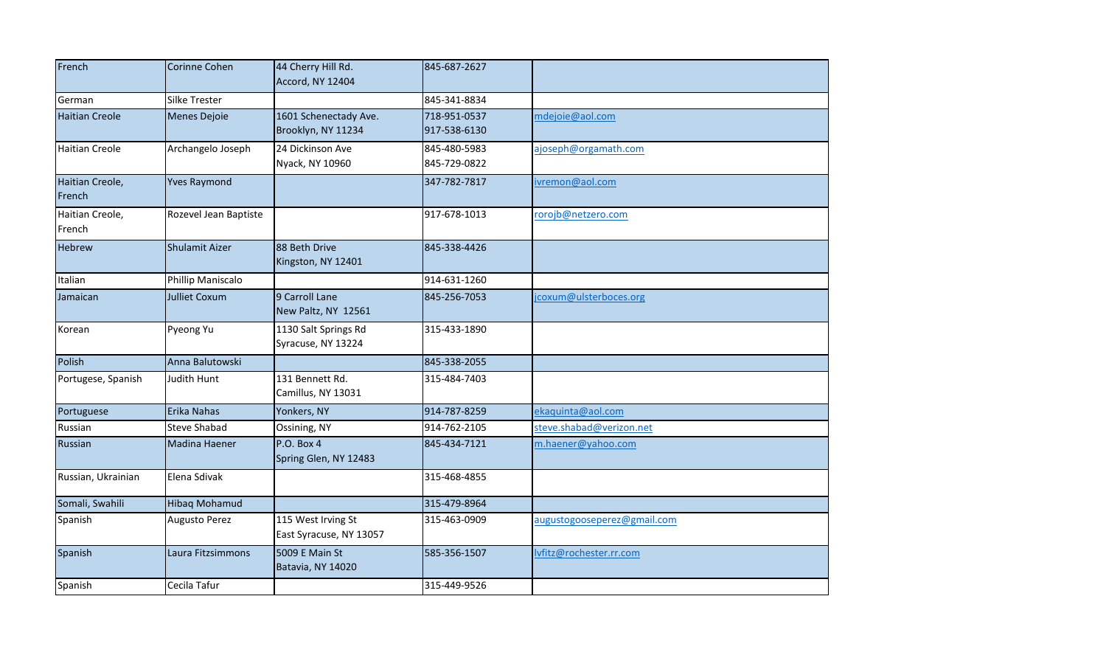| French                    | Corinne Cohen         | 44 Cherry Hill Rd.<br>Accord, NY 12404        | 845-687-2627                 |                             |
|---------------------------|-----------------------|-----------------------------------------------|------------------------------|-----------------------------|
| German                    | <b>Silke Trester</b>  |                                               | 845-341-8834                 |                             |
| <b>Haitian Creole</b>     | <b>Menes Dejoie</b>   | 1601 Schenectady Ave.<br>Brooklyn, NY 11234   | 718-951-0537<br>917-538-6130 | mdejoie@aol.com             |
| <b>Haitian Creole</b>     | Archangelo Joseph     | 24 Dickinson Ave<br>Nyack, NY 10960           | 845-480-5983<br>845-729-0822 | ajoseph@orgamath.com        |
| Haitian Creole,<br>French | <b>Yves Raymond</b>   |                                               | 347-782-7817                 | ivremon@aol.com             |
| Haitian Creole,<br>French | Rozevel Jean Baptiste |                                               | 917-678-1013                 | rorojb@netzero.com          |
| Hebrew                    | Shulamit Aizer        | 88 Beth Drive<br>Kingston, NY 12401           | 845-338-4426                 |                             |
| Italian                   | Phillip Maniscalo     |                                               | 914-631-1260                 |                             |
| Jamaican                  | <b>Julliet Coxum</b>  | 9 Carroll Lane<br>New Paltz, NY 12561         | 845-256-7053                 | jcoxum@ulsterboces.org      |
| Korean                    | Pyeong Yu             | 1130 Salt Springs Rd<br>Syracuse, NY 13224    | 315-433-1890                 |                             |
| Polish                    | Anna Balutowski       |                                               | 845-338-2055                 |                             |
| Portugese, Spanish        | Judith Hunt           | 131 Bennett Rd.<br>Camillus, NY 13031         | 315-484-7403                 |                             |
| Portuguese                | Erika Nahas           | Yonkers, NY                                   | 914-787-8259                 | ekaquinta@aol.com           |
| Russian                   | <b>Steve Shabad</b>   | Ossining, NY                                  | 914-762-2105                 | steve.shabad@verizon.net    |
| Russian                   | Madina Haener         | <b>P.O. Box 4</b><br>Spring Glen, NY 12483    | 845-434-7121                 | m.haener@yahoo.com          |
| Russian, Ukrainian        | Elena Sdivak          |                                               | 315-468-4855                 |                             |
| Somali, Swahili           | Hibaq Mohamud         |                                               | 315-479-8964                 |                             |
| Spanish                   | <b>Augusto Perez</b>  | 115 West Irving St<br>East Syracuse, NY 13057 | 315-463-0909                 | augustogooseperez@gmail.com |
| Spanish                   | Laura Fitzsimmons     | 5009 E Main St<br>Batavia, NY 14020           | 585-356-1507                 | lvfitz@rochester.rr.com     |
| Spanish                   | Cecila Tafur          |                                               | 315-449-9526                 |                             |